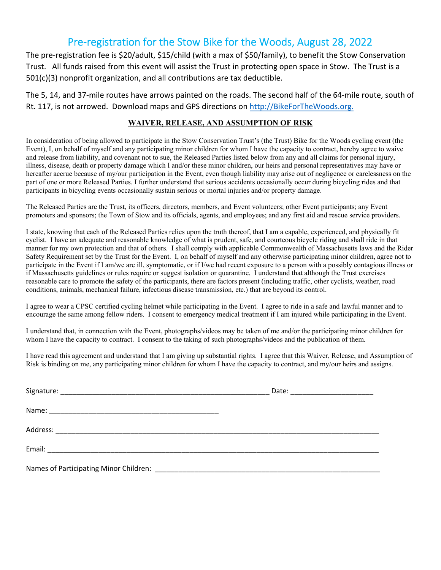## Pre-registration for the Stow Bike for the Woods, August 28, 2022

The pre‐registration fee is \$20/adult, \$15/child (with a max of \$50/family), to benefit the Stow Conservation Trust. All funds raised from this event will assist the Trust in protecting open space in Stow. The Trust is a 501(c)(3) nonprofit organization, and all contributions are tax deductible.

The 5, 14, and 37‐mile routes have arrows painted on the roads. The second half of the 64‐mile route, south of Rt. 117, is not arrowed. Download maps and GPS directions on http://BikeForTheWoods.org.

## **WAIVER, RELEASE, AND ASSUMPTION OF RISK**

In consideration of being allowed to participate in the Stow Conservation Trust's (the Trust) Bike for the Woods cycling event (the Event), I, on behalf of myself and any participating minor children for whom I have the capacity to contract, hereby agree to waive and release from liability, and covenant not to sue, the Released Parties listed below from any and all claims for personal injury, illness, disease, death or property damage which I and/or these minor children, our heirs and personal representatives may have or hereafter accrue because of my/our participation in the Event, even though liability may arise out of negligence or carelessness on the part of one or more Released Parties. I further understand that serious accidents occasionally occur during bicycling rides and that participants in bicycling events occasionally sustain serious or mortal injuries and/or property damage.

The Released Parties are the Trust, its officers, directors, members, and Event volunteers; other Event participants; any Event promoters and sponsors; the Town of Stow and its officials, agents, and employees; and any first aid and rescue service providers.

I state, knowing that each of the Released Parties relies upon the truth thereof, that I am a capable, experienced, and physically fit cyclist. I have an adequate and reasonable knowledge of what is prudent, safe, and courteous bicycle riding and shall ride in that manner for my own protection and that of others. I shall comply with applicable Commonwealth of Massachusetts laws and the Rider Safety Requirement set by the Trust for the Event. I, on behalf of myself and any otherwise participating minor children, agree not to participate in the Event if I am/we are ill, symptomatic, or if I/we had recent exposure to a person with a possibly contagious illness or if Massachusetts guidelines or rules require or suggest isolation or quarantine. I understand that although the Trust exercises reasonable care to promote the safety of the participants, there are factors present (including traffic, other cyclists, weather, road conditions, animals, mechanical failure, infectious disease transmission, etc.) that are beyond its control.

I agree to wear a CPSC certified cycling helmet while participating in the Event. I agree to ride in a safe and lawful manner and to encourage the same among fellow riders. I consent to emergency medical treatment if I am injured while participating in the Event.

I understand that, in connection with the Event, photographs/videos may be taken of me and/or the participating minor children for whom I have the capacity to contract. I consent to the taking of such photographs/videos and the publication of them.

I have read this agreement and understand that I am giving up substantial rights. I agree that this Waiver, Release, and Assumption of Risk is binding on me, any participating minor children for whom I have the capacity to contract, and my/our heirs and assigns.

| Date: _________________________ |
|---------------------------------|
|                                 |
|                                 |
|                                 |
|                                 |